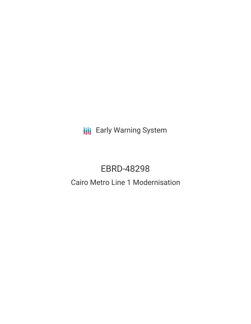**III** Early Warning System

# EBRD-48298

# Cairo Metro Line 1 Modernisation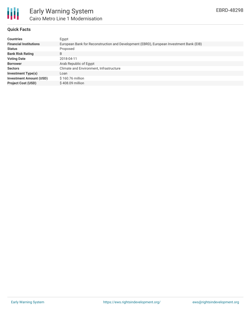

## **Quick Facts**

| <b>Countries</b>               | Egypt                                                                                   |
|--------------------------------|-----------------------------------------------------------------------------------------|
| <b>Financial Institutions</b>  | European Bank for Reconstruction and Development (EBRD), European Investment Bank (EIB) |
| <b>Status</b>                  | Proposed                                                                                |
| <b>Bank Risk Rating</b>        | B                                                                                       |
| <b>Voting Date</b>             | 2018-04-11                                                                              |
| <b>Borrower</b>                | Arab Republic of Egypt                                                                  |
| <b>Sectors</b>                 | Climate and Environment, Infrastructure                                                 |
| <b>Investment Type(s)</b>      | Loan                                                                                    |
| <b>Investment Amount (USD)</b> | \$160.76 million                                                                        |
| <b>Project Cost (USD)</b>      | \$408.09 million                                                                        |
|                                |                                                                                         |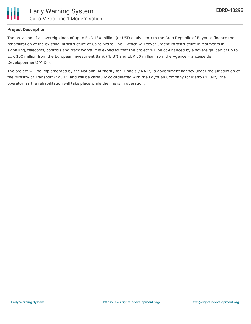

#### **Project Description**

The provision of a sovereign loan of up to EUR 130 million (or USD equivalent) to the Arab Republic of Egypt to finance the rehabilitation of the existing infrastructure of Cairo Metro Line I, which will cover urgent infrastructure investments in signalling, telecoms, controls and track works. It is expected that the project will be co-financed by a sovereign loan of up to EUR 150 million from the European Investment Bank ("EIB") and EUR 50 million from the Agence Francaise de Developpement("AfD").

The project will be implemented by the National Authority for Tunnels ("NAT"), a government agency under the jurisdiction of the Ministry of Transport ("MOT") and will be carefully co-ordinated with the Egyptian Company for Metro ("ECM"), the operator, as the rehabilitation will take place while the line is in operation.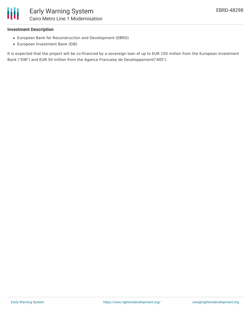

#### **Investment Description**

- European Bank for Reconstruction and Development (EBRD)
- European Investment Bank (EIB)

It is expected that the project will be co-financed by a sovereign loan of up to EUR 150 million from the European Investment Bank ("EIB") and EUR 50 million from the Agence Francaise de Developpement("AfD").